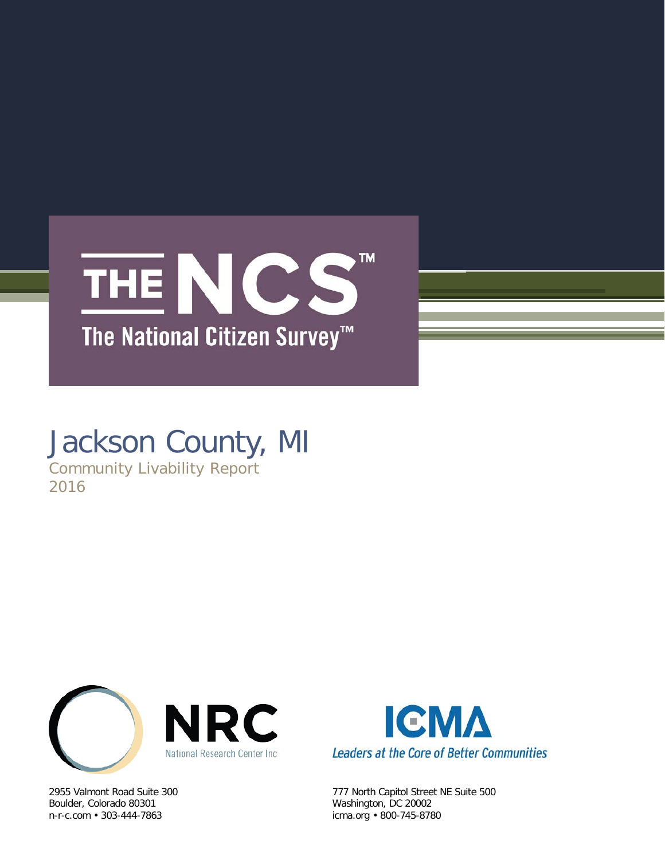

# Jackson County, MI

Community Livability Report 2016



Boulder, Colorado 80301 Washington, DC 20002 n-r-c.com • 303-444-7863 icma.org • 800-745-8780



2955 Valmont Road Suite 300 777 North Capitol Street NE Suite 500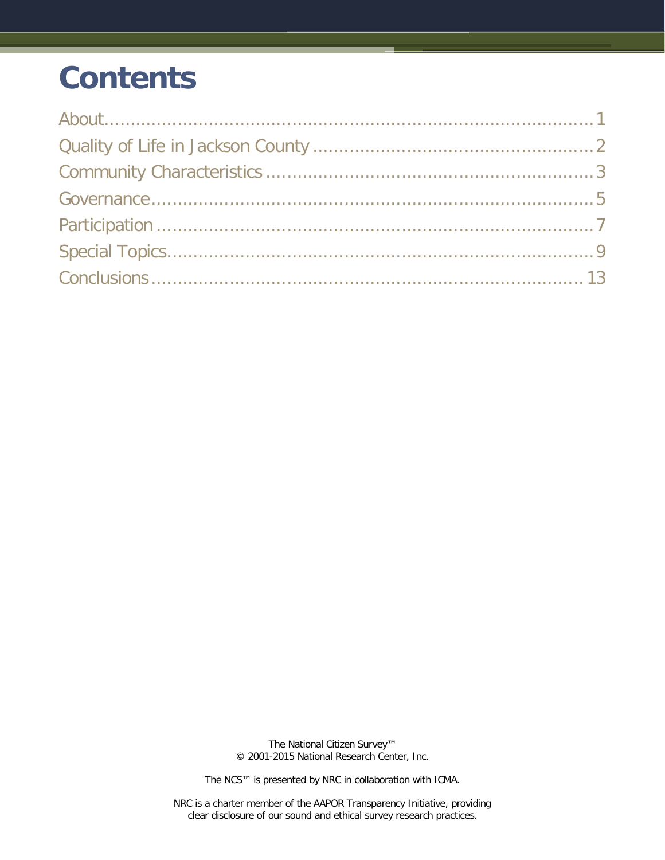# **Contents**

The National Citizen Survey™ © 2001-2015 National Research Center, Inc.

The NCS™ is presented by NRC in collaboration with ICMA.

NRC is a charter member of the AAPOR Transparency Initiative, providing clear disclosure of our sound and ethical survey research practices.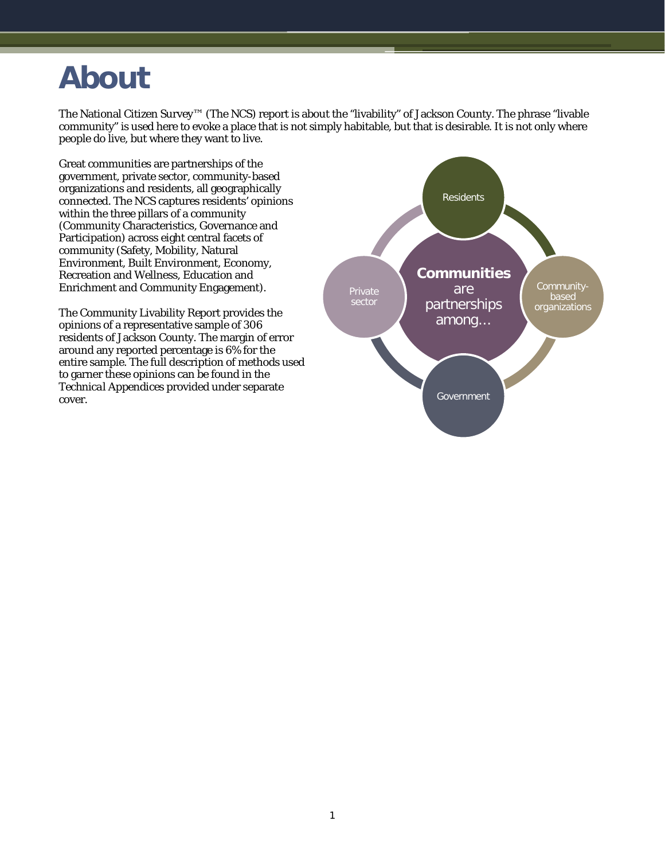## <span id="page-2-0"></span>**About**

The National Citizen Survey™ (The NCS) report is about the "livability" of Jackson County. The phrase "livable community" is used here to evoke a place that is not simply habitable, but that is desirable. It is not only where people do live, but where they want to live.

Great communities are partnerships of the government, private sector, community-based organizations and residents, all geographically connected. The NCS captures residents' opinions within the three pillars of a community (Community Characteristics, Governance and Participation) across eight central facets of community (Safety, Mobility, Natural Environment, Built Environment, Economy, Recreation and Wellness, Education and Enrichment and Community Engagement).

The Community Livability Report provides the opinions of a representative sample of 306 residents of Jackson County. The margin of error around any reported percentage is 6% for the entire sample. The full description of methods used to garner these opinions can be found in the *Technical Appendices* provided under separate cover.

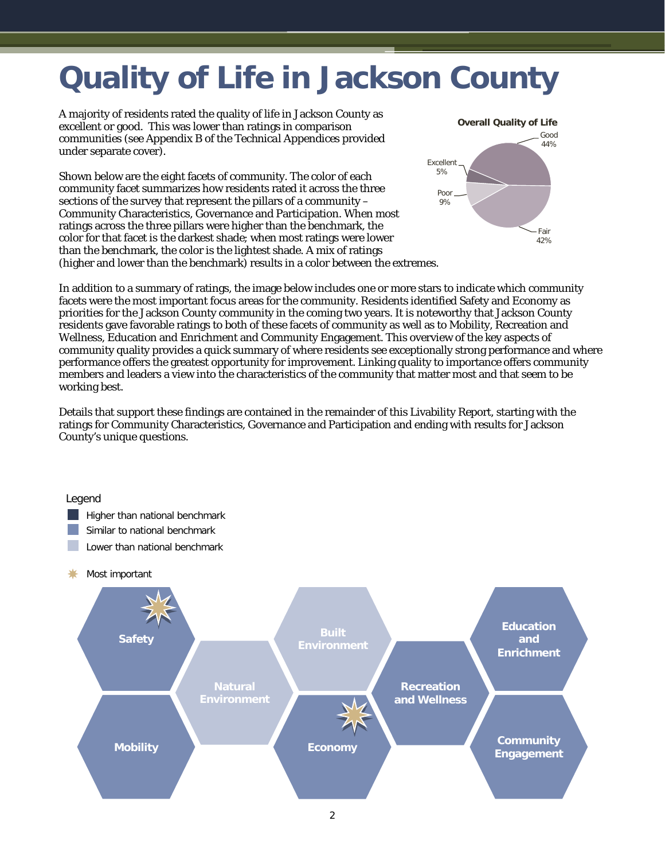## <span id="page-3-0"></span>**Quality of Life in Jackson County**

A majority of residents rated the quality of life in Jackson County as excellent or good. This was lower than ratings in comparison communities (see Appendix B of the *Technical Appendices* provided under separate cover).

Shown below are the eight facets of community. The color of each community facet summarizes how residents rated it across the three sections of the survey that represent the pillars of a community – Community Characteristics, Governance and Participation. When most ratings across the three pillars were higher than the benchmark, the color for that facet is the darkest shade; when most ratings were lower than the benchmark, the color is the lightest shade. A mix of ratings (higher and lower than the benchmark) results in a color between the extremes.



In addition to a summary of ratings, the image below includes one or more stars to indicate which community facets were the most important focus areas for the community. Residents identified Safety and Economy as priorities for the Jackson County community in the coming two years. It is noteworthy that Jackson County residents gave favorable ratings to both of these facets of community as well as to Mobility, Recreation and Wellness, Education and Enrichment and Community Engagement. This overview of the key aspects of community quality provides a quick summary of where residents see exceptionally strong performance and where performance offers the greatest opportunity for improvement. Linking quality to importance offers community members and leaders a view into the characteristics of the community that matter most and that seem to be working best.

Details that support these findings are contained in the remainder of this Livability Report, starting with the ratings for Community Characteristics, Governance and Participation and ending with results for Jackson County's unique questions.

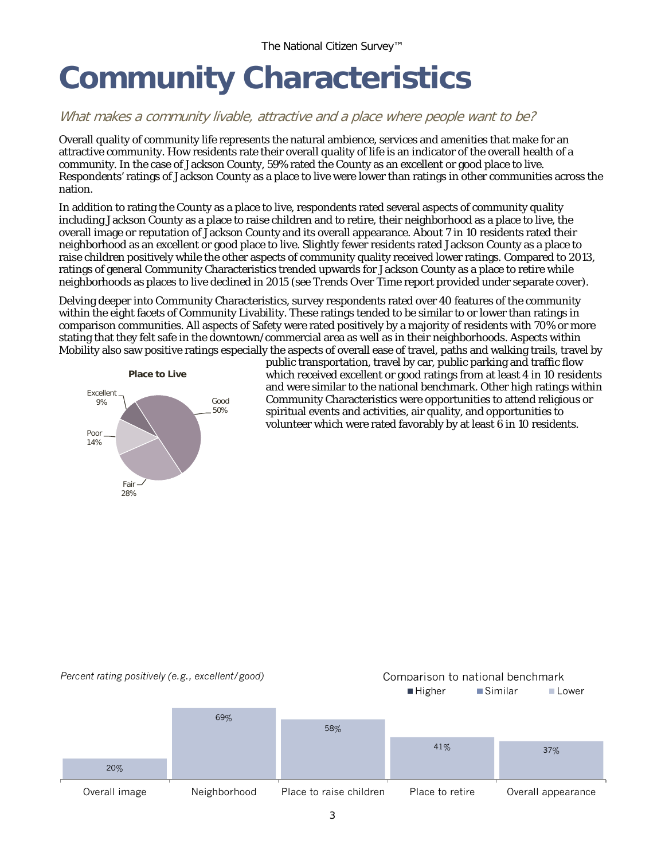# <span id="page-4-0"></span>**Community Characteristics**

### What makes a community livable, attractive and a place where people want to be?

Overall quality of community life represents the natural ambience, services and amenities that make for an attractive community. How residents rate their overall quality of life is an indicator of the overall health of a community. In the case of Jackson County, 59% rated the County as an excellent or good place to live. Respondents' ratings of Jackson County as a place to live were lower than ratings in other communities across the nation.

In addition to rating the County as a place to live, respondents rated several aspects of community quality including Jackson County as a place to raise children and to retire, their neighborhood as a place to live, the overall image or reputation of Jackson County and its overall appearance. About 7 in 10 residents rated their neighborhood as an excellent or good place to live. Slightly fewer residents rated Jackson County as a place to raise children positively while the other aspects of community quality received lower ratings. Compared to 2013, ratings of general Community Characteristics trended upwards for Jackson County as a place to retire while neighborhoods as places to live declined in 2015 (see *Trends Over Time* report provided under separate cover).

Delving deeper into Community Characteristics, survey respondents rated over 40 features of the community within the eight facets of Community Livability. These ratings tended to be similar to or lower than ratings in comparison communities. All aspects of Safety were rated positively by a majority of residents with 70% or more stating that they felt safe in the downtown/commercial area as well as in their neighborhoods. Aspects within Mobility also saw positive ratings especially the aspects of overall ease of travel, paths and walking trails, travel by



public transportation, travel by car, public parking and traffic flow which received excellent or good ratings from at least 4 in 10 residents and were similar to the national benchmark. Other high ratings within Community Characteristics were opportunities to attend religious or spiritual events and activities, air quality, and opportunities to volunteer which were rated favorably by at least 6 in 10 residents.

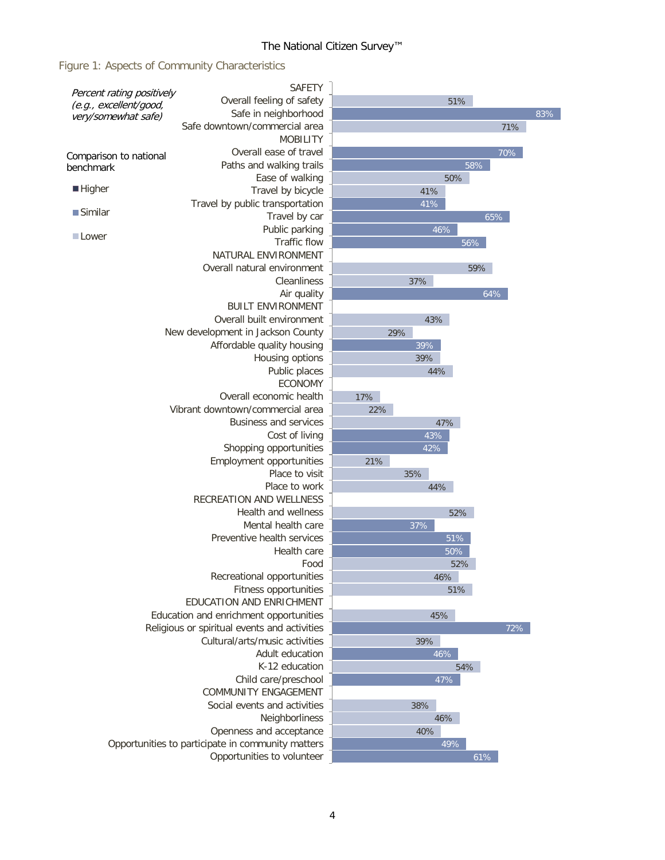### The National Citizen Survey™

### Figure 1: Aspects of Community Characteristics

| Percent rating positively                     | SAFETY                                                                         |     |            |     |     |
|-----------------------------------------------|--------------------------------------------------------------------------------|-----|------------|-----|-----|
| (e.g., excellent/good,<br>very/somewhat safe) | Overall feeling of safety                                                      |     | 51%        |     |     |
|                                               | Safe in neighborhood                                                           |     |            |     | 83% |
|                                               | Safe downtown/commercial area                                                  |     |            | 71% |     |
|                                               | <b>MOBILITY</b>                                                                |     |            |     |     |
| Comparison to national                        | Overall ease of travel                                                         |     |            | 70% |     |
| benchmark                                     | Paths and walking trails                                                       |     |            | 58% |     |
|                                               | Ease of walking                                                                |     | 50%        |     |     |
| $\blacksquare$ Higher                         | Travel by bicycle                                                              |     | 41%        |     |     |
| $\blacksquare$ Similar                        | Travel by public transportation                                                |     | 41%        |     |     |
|                                               | Travel by car                                                                  |     |            | 65% |     |
| <b>Lower</b>                                  | Public parking<br>Traffic flow                                                 |     | 46%<br>56% |     |     |
|                                               | NATURAL ENVIRONMENT                                                            |     |            |     |     |
|                                               | Overall natural environment                                                    |     |            | 59% |     |
|                                               | Cleanliness                                                                    |     | 37%        |     |     |
|                                               | Air quality                                                                    |     |            | 64% |     |
|                                               | <b>BUILT ENVIRONMENT</b>                                                       |     |            |     |     |
|                                               | Overall built environment                                                      |     | 43%        |     |     |
|                                               | New development in Jackson County                                              |     | 29%        |     |     |
|                                               | Affordable quality housing                                                     |     | 39%        |     |     |
|                                               | Housing options                                                                |     | 39%        |     |     |
|                                               | Public places                                                                  |     | 44%        |     |     |
|                                               | <b>ECONOMY</b>                                                                 |     |            |     |     |
|                                               | Overall economic health                                                        | 17% |            |     |     |
|                                               | Vibrant downtown/commercial area                                               | 22% |            |     |     |
|                                               | <b>Business and services</b>                                                   |     | 47%        |     |     |
|                                               | Cost of living                                                                 |     | 43%        |     |     |
|                                               | Shopping opportunities                                                         |     | 42%        |     |     |
|                                               | Employment opportunities                                                       | 21% |            |     |     |
|                                               | Place to visit                                                                 |     | 35%        |     |     |
|                                               | Place to work                                                                  |     | 44%        |     |     |
|                                               | RECREATION AND WELLNESS                                                        |     |            |     |     |
|                                               | <b>Health and wellness</b>                                                     |     | 52%        |     |     |
|                                               | Mental health care                                                             |     | 37%        |     |     |
|                                               | Preventive health services                                                     |     | 51%        |     |     |
|                                               | Health care<br>Food                                                            |     | 50%<br>52% |     |     |
|                                               | Recreational opportunities                                                     |     | 46%        |     |     |
|                                               | Fitness opportunities                                                          |     | 51%        |     |     |
|                                               | EDUCATION AND ENRICHMENT                                                       |     |            |     |     |
|                                               | Education and enrichment opportunities                                         |     | 45%        |     |     |
|                                               |                                                                                |     | 72%        |     |     |
|                                               | Religious or spiritual events and activities<br>Cultural/arts/music activities |     | 39%        |     |     |
|                                               | Adult education                                                                |     | $46\%$     |     |     |
|                                               | K-12 education                                                                 |     | 54%        |     |     |
|                                               | Child care/preschool                                                           |     | 47%        |     |     |
|                                               | COMMUNITY ENGAGEMENT                                                           |     |            |     |     |
|                                               | Social events and activities                                                   |     | 38%        |     |     |
|                                               | 46%                                                                            |     |            |     |     |
|                                               | 40%                                                                            |     |            |     |     |
|                                               | Opportunities to participate in community matters                              |     | 49%        |     |     |
|                                               | Opportunities to volunteer                                                     |     |            | 61% |     |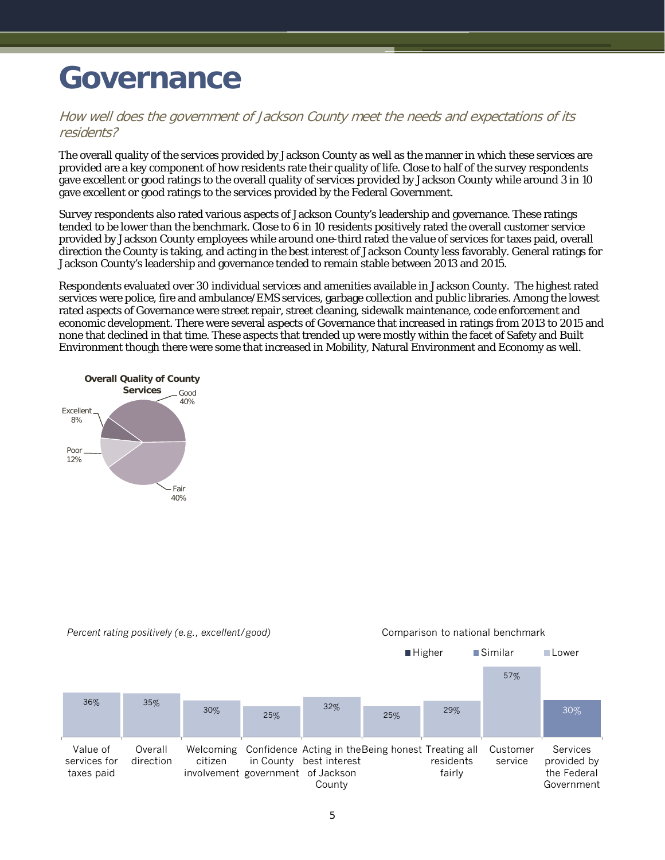## <span id="page-6-0"></span>**Governance**

#### How well does the government of Jackson County meet the needs and expectations of its residents?

The overall quality of the services provided by Jackson County as well as the manner in which these services are provided are a key component of how residents rate their quality of life. Close to half of the survey respondents gave excellent or good ratings to the overall quality of services provided by Jackson County while around 3 in 10 gave excellent or good ratings to the services provided by the Federal Government.

Survey respondents also rated various aspects of Jackson County's leadership and governance. These ratings tended to be lower than the benchmark. Close to 6 in 10 residents positively rated the overall customer service provided by Jackson County employees while around one-third rated the value of services for taxes paid, overall direction the County is taking, and acting in the best interest of Jackson County less favorably. General ratings for Jackson County's leadership and governance tended to remain stable between 2013 and 2015.

Respondents evaluated over 30 individual services and amenities available in Jackson County. The highest rated services were police, fire and ambulance/EMS services, garbage collection and public libraries. Among the lowest rated aspects of Governance were street repair, street cleaning, sidewalk maintenance, code enforcement and economic development. There were several aspects of Governance that increased in ratings from 2013 to 2015 and none that declined in that time. These aspects that trended up were mostly within the facet of Safety and Built Environment though there were some that increased in Mobility, Natural Environment and Economy as well.



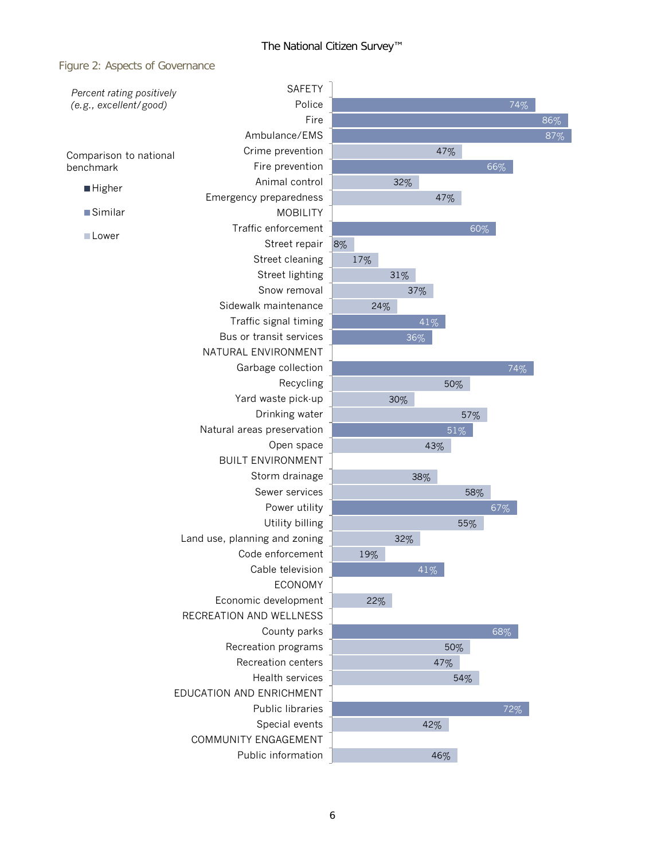### Figure 2: Aspects of Governance

| Percent rating positively                 | <b>SAFETY</b>                 |     |     |     |     |     |     |
|-------------------------------------------|-------------------------------|-----|-----|-----|-----|-----|-----|
| (e.g., excellent/good)                    | Police                        |     |     |     |     | 74% |     |
|                                           | Fire                          |     |     |     |     |     | 86% |
|                                           | Ambulance/EMS                 |     |     |     |     |     | 87% |
| Comparison to national                    | Crime prevention              |     |     | 47% |     |     |     |
| benchmark                                 | Fire prevention               |     |     |     |     | 66% |     |
| <b>Higher</b>                             | Animal control                |     | 32% |     |     |     |     |
|                                           | Emergency preparedness        |     |     | 47% |     |     |     |
| ■Similar                                  | <b>MOBILITY</b>               |     |     |     |     |     |     |
| Lower                                     | Traffic enforcement           |     |     |     | 60% |     |     |
|                                           | Street repair                 | 8%  |     |     |     |     |     |
|                                           | Street cleaning               | 17% |     |     |     |     |     |
|                                           | Street lighting               |     | 31% |     |     |     |     |
|                                           | Snow removal                  |     |     | 37% |     |     |     |
|                                           | Sidewalk maintenance          |     | 24% |     |     |     |     |
|                                           | Traffic signal timing         |     |     | 41% |     |     |     |
|                                           | Bus or transit services       |     |     | 36% |     |     |     |
|                                           | NATURAL ENVIRONMENT           |     |     |     |     |     |     |
|                                           | Garbage collection            |     |     |     |     | 74% |     |
|                                           | Recycling                     |     |     | 50% |     |     |     |
|                                           | Yard waste pick-up            |     | 30% |     |     |     |     |
|                                           | Drinking water                |     |     |     | 57% |     |     |
|                                           | Natural areas preservation    |     |     | 51% |     |     |     |
|                                           | Open space                    |     |     | 43% |     |     |     |
|                                           | <b>BUILT ENVIRONMENT</b>      |     |     |     |     |     |     |
|                                           | Storm drainage                |     |     | 38% |     |     |     |
|                                           | Sewer services                |     |     |     | 58% |     |     |
|                                           | Power utility                 |     |     |     |     | 67% |     |
|                                           | Utility billing               |     |     |     | 55% |     |     |
|                                           | Land use, planning and zoning |     | 32% |     |     |     |     |
|                                           | Code enforcement              | 19% |     |     |     |     |     |
|                                           | Cable television              |     |     | 41% |     |     |     |
|                                           | <b>ECONOMY</b>                |     |     |     |     |     |     |
|                                           | Economic development          | 22% |     |     |     |     |     |
|                                           | RECREATION AND WELLNESS       |     |     |     |     |     |     |
|                                           | County parks                  |     |     |     |     | 68% |     |
| Recreation programs<br>Recreation centers |                               |     |     | 50% |     |     |     |
|                                           |                               |     |     | 47% |     |     |     |
|                                           | Health services               |     |     | 54% |     |     |     |
|                                           | EDUCATION AND ENRICHMENT      |     |     |     |     |     |     |
|                                           | Public libraries              |     |     |     |     | 72% |     |
|                                           | Special events                |     |     | 42% |     |     |     |
|                                           | COMMUNITY ENGAGEMENT          |     |     |     |     |     |     |
|                                           | Public information            |     |     | 46% |     |     |     |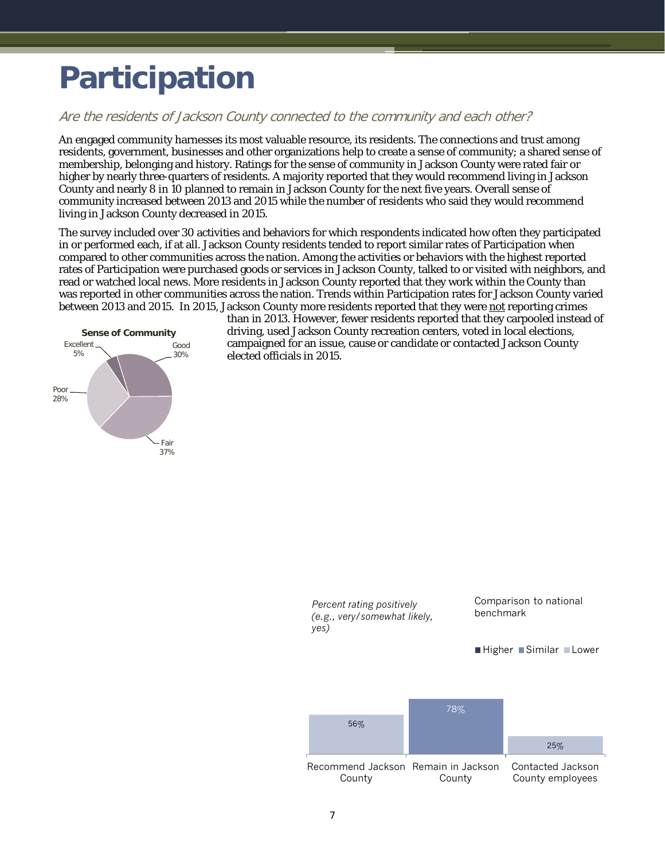# <span id="page-8-0"></span>**Participation**

#### Are the residents of Jackson County connected to the community and each other?

An engaged community harnesses its most valuable resource, its residents. The connections and trust among residents, government, businesses and other organizations help to create a sense of community; a shared sense of membership, belonging and history. Ratings for the sense of community in Jackson County were rated fair or higher by nearly three-quarters of residents. A majority reported that they would recommend living in Jackson County and nearly 8 in 10 planned to remain in Jackson County for the next five years. Overall sense of community increased between 2013 and 2015 while the number of residents who said they would recommend living in Jackson County decreased in 2015.

The survey included over 30 activities and behaviors for which respondents indicated how often they participated in or performed each, if at all. Jackson County residents tended to report similar rates of Participation when compared to other communities across the nation. Among the activities or behaviors with the highest reported rates of Participation were purchased goods or services in Jackson County, talked to or visited with neighbors, and read or watched local news. More residents in Jackson County reported that they work within the County than was reported in other communities across the nation. Trends within Participation rates for Jackson County varied between 2013 and 2015. In 2015, Jackson County more residents reported that they were not reporting crimes



than in 2013. However, fewer residents reported that they carpooled instead of driving, used Jackson County recreation centers, voted in local elections, campaigned for an issue, cause or candidate or contacted Jackson County elected officials in 2015.

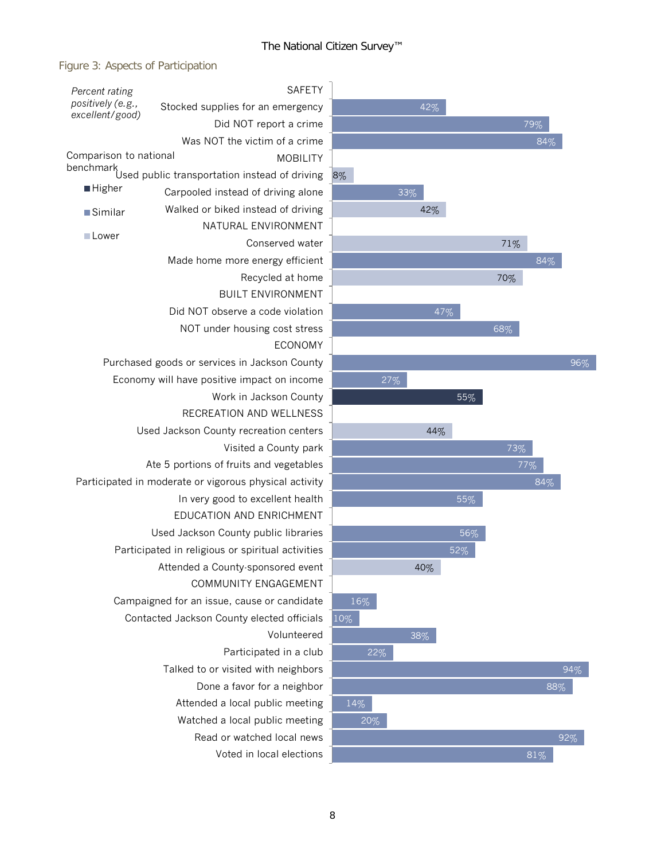$\overline{a}$ 

### Figure 3: Aspects of Participation

| Percent rating                       | <b>SAFETY</b>                                              |     |  |  |  |  |  |
|--------------------------------------|------------------------------------------------------------|-----|--|--|--|--|--|
| positively (e.g.,<br>excellent/good) | Stocked supplies for an emergency                          |     |  |  |  |  |  |
|                                      | Did NOT report a crime                                     |     |  |  |  |  |  |
|                                      | Was NOT the victim of a crime                              |     |  |  |  |  |  |
| Comparison to national               | <b>MOBILITY</b>                                            |     |  |  |  |  |  |
|                                      | benchmark<br>Used public transportation instead of driving | 8%  |  |  |  |  |  |
| ■ Higher                             | Carpooled instead of driving alone                         |     |  |  |  |  |  |
| ■Similar                             | Walked or biked instead of driving                         |     |  |  |  |  |  |
| <b>■Lower</b>                        | NATURAL ENVIRONMENT                                        |     |  |  |  |  |  |
|                                      | Conserved water                                            |     |  |  |  |  |  |
|                                      | Made home more energy efficient                            |     |  |  |  |  |  |
|                                      | Recycled at home                                           |     |  |  |  |  |  |
|                                      | <b>BUILT ENVIRONMENT</b>                                   |     |  |  |  |  |  |
|                                      | Did NOT observe a code violation                           |     |  |  |  |  |  |
|                                      | NOT under housing cost stress                              |     |  |  |  |  |  |
|                                      | <b>ECONOMY</b>                                             |     |  |  |  |  |  |
|                                      | Purchased goods or services in Jackson County              |     |  |  |  |  |  |
|                                      | Economy will have positive impact on income                |     |  |  |  |  |  |
|                                      | Work in Jackson County                                     |     |  |  |  |  |  |
|                                      | RECREATION AND WELLNESS                                    |     |  |  |  |  |  |
|                                      | Used Jackson County recreation centers                     |     |  |  |  |  |  |
|                                      | Visited a County park                                      |     |  |  |  |  |  |
|                                      | Ate 5 portions of fruits and vegetables                    |     |  |  |  |  |  |
|                                      | Participated in moderate or vigorous physical activity     |     |  |  |  |  |  |
|                                      | In very good to excellent health                           |     |  |  |  |  |  |
|                                      | EDUCATION AND ENRICHMENT                                   |     |  |  |  |  |  |
|                                      | Used Jackson County public libraries                       |     |  |  |  |  |  |
|                                      | Participated in religious or spiritual activities          |     |  |  |  |  |  |
|                                      | Attended a County-sponsored event                          |     |  |  |  |  |  |
|                                      | COMMUNITY ENGAGEMENT                                       |     |  |  |  |  |  |
|                                      | Campaigned for an issue, cause or candidate                | 16  |  |  |  |  |  |
|                                      | Contacted Jackson County elected officials                 | 10% |  |  |  |  |  |
|                                      | Volunteered                                                |     |  |  |  |  |  |
|                                      | Participated in a club                                     |     |  |  |  |  |  |
|                                      | Talked to or visited with neighbors                        |     |  |  |  |  |  |
|                                      | Done a favor for a neighbor                                |     |  |  |  |  |  |
|                                      | Attended a local public meeting                            | 149 |  |  |  |  |  |
|                                      | Watched a local public meeting                             |     |  |  |  |  |  |
|                                      | Read or watched local news                                 |     |  |  |  |  |  |
| Voted in local elections             |                                                            |     |  |  |  |  |  |

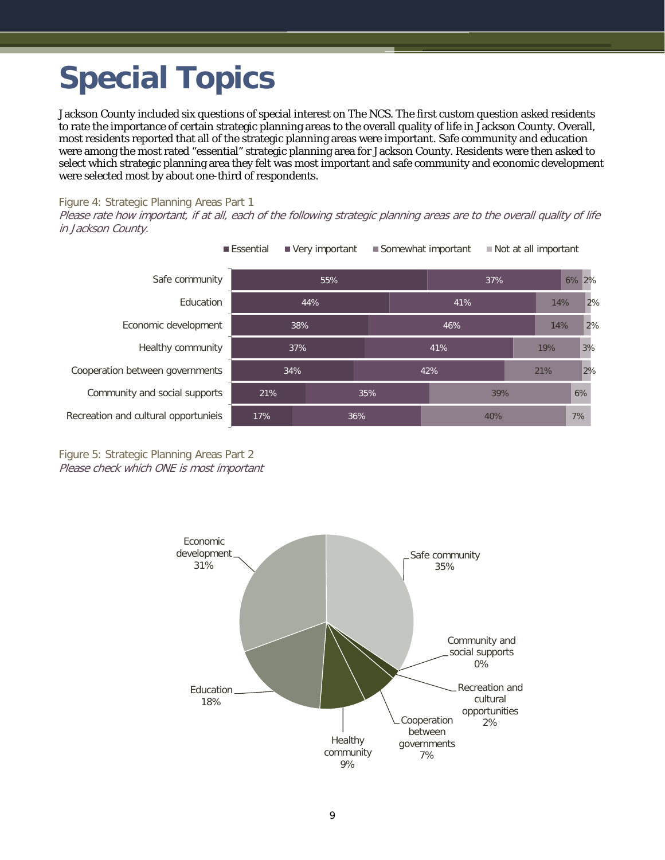# <span id="page-10-0"></span>**Special Topics**

Jackson County included six questions of special interest on The NCS. The first custom question asked residents to rate the importance of certain strategic planning areas to the overall quality of life in Jackson County. Overall, most residents reported that all of the strategic planning areas were important. Safe community and education were among the most rated "essential" strategic planning area for Jackson County. Residents were then asked to select which strategic planning area they felt was most important and safe community and economic development were selected most by about one-third of respondents.

#### Figure 4: Strategic Planning Areas Part 1

Please rate how important, if at all, each of the following strategic planning areas are to the overall quality of life in Jackson County.

| Safe community                       | 55%        |  |     |     | 37% |  |     | 6% 2% |
|--------------------------------------|------------|--|-----|-----|-----|--|-----|-------|
| Education                            | 44%        |  |     | 41% |     |  | 14% | 2%    |
| Economic development                 | 38%        |  |     | 46% |     |  | 14% | 2%    |
| Healthy community                    | 37%        |  |     | 41% |     |  | 19% | 3%    |
| Cooperation between governments      | 34%        |  |     | 42% |     |  | 21% | 2%    |
| Community and social supports        | 21%        |  | 35% |     | 39% |  |     | 6%    |
| Recreation and cultural opportunieis | 17%<br>36% |  |     | 40% |     |  |     | 7%    |



Figure 5: Strategic Planning Areas Part 2 Please check which ONE is most important

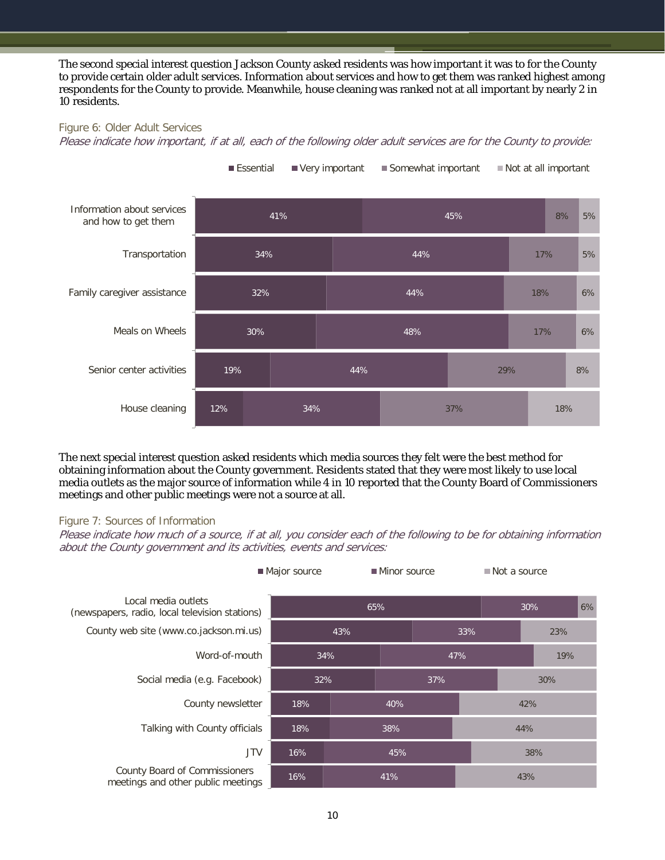The second special interest question Jackson County asked residents was how important it was to for the County to provide certain older adult services. Information about services and how to get them was ranked highest among respondents for the County to provide. Meanwhile, house cleaning was ranked not at all important by nearly 2 in 10 residents.

#### Figure 6: Older Adult Services

Please indicate how important, if at all, each of the following older adult services are for the County to provide:



The next special interest question asked residents which media sources they felt were the best method for obtaining information about the County government. Residents stated that they were most likely to use local media outlets as the major source of information while 4 in 10 reported that the County Board of Commissioners meetings and other public meetings were not a source at all.

#### Figure 7: Sources of Information

Please indicate how much of a source, if at all, you consider each of the following to be for obtaining information about the County government and its activities, events and services:

|                                                                       | Major source |            |     | Minor source |     | $\blacksquare$ Not a source |  |  |
|-----------------------------------------------------------------------|--------------|------------|-----|--------------|-----|-----------------------------|--|--|
| Local media outlets<br>(newspapers, radio, local television stations) | 65%          |            | 30% |              |     | 6%                          |  |  |
| County web site (www.co.jackson.mi.us)                                | 43%          |            |     | 33%          |     | 23%                         |  |  |
| Word-of-mouth                                                         | 34%          |            |     | 47%          |     | 19%                         |  |  |
| Social media (e.g. Facebook)                                          |              | 32%<br>37% |     |              | 30% |                             |  |  |
| County newsletter                                                     | 18%          | 40%        |     | 42%          |     |                             |  |  |
| Talking with County officials                                         | 18%          | 38%        |     |              | 44% |                             |  |  |
| <b>JTV</b>                                                            | 16%          | 45%        |     |              | 38% |                             |  |  |
| County Board of Commissioners<br>meetings and other public meetings   | 16%          | 41%        |     | 43%          |     |                             |  |  |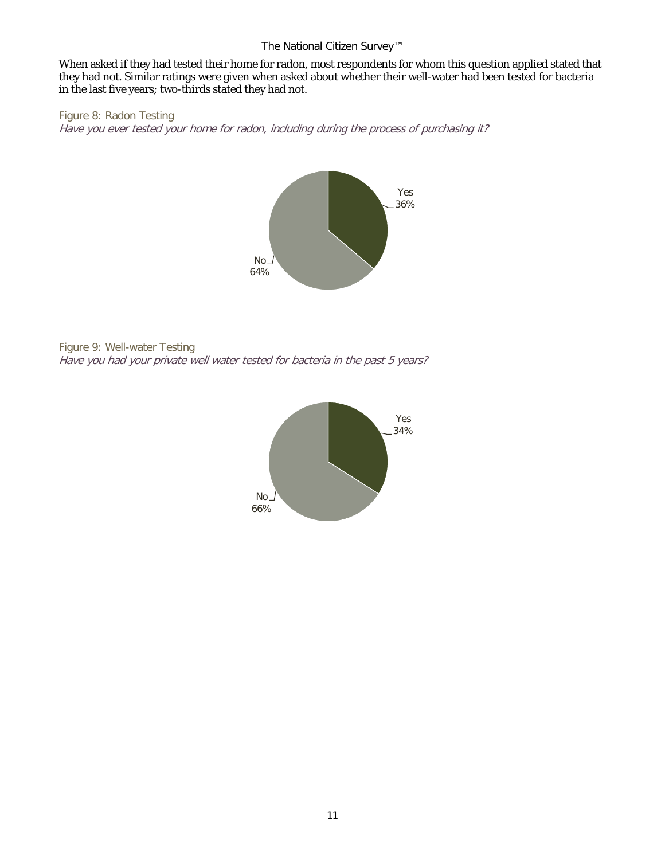#### The National Citizen Survey™

When asked if they had tested their home for radon, most respondents for whom this question applied stated that they had not. Similar ratings were given when asked about whether their well-water had been tested for bacteria in the last five years; two-thirds stated they had not.

Figure 8: Radon Testing Have you ever tested your home for radon, including during the process of purchasing it?



Figure 9: Well-water Testing Have you had your private well water tested for bacteria in the past 5 years?

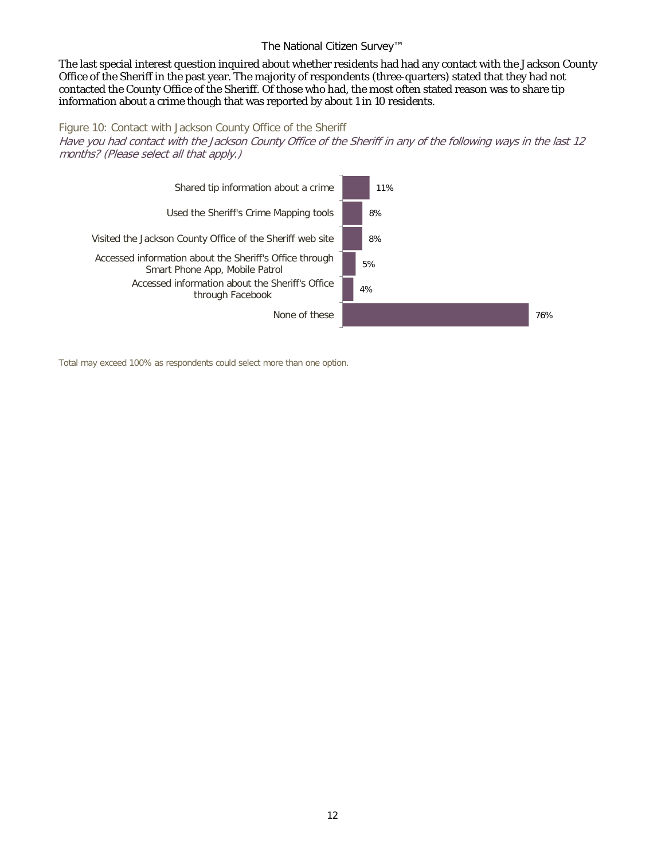#### The National Citizen Survey™

The last special interest question inquired about whether residents had had any contact with the Jackson County Office of the Sheriff in the past year. The majority of respondents (three-quarters) stated that they had not contacted the County Office of the Sheriff. Of those who had, the most often stated reason was to share tip information about a crime though that was reported by about 1 in 10 residents.

#### Figure 10: Contact with Jackson County Office of the Sheriff

Have you had contact with the Jackson County Office of the Sheriff in any of the following ways in the last 12 months? (Please select all that apply.)



Total may exceed 100% as respondents could select more than one option.